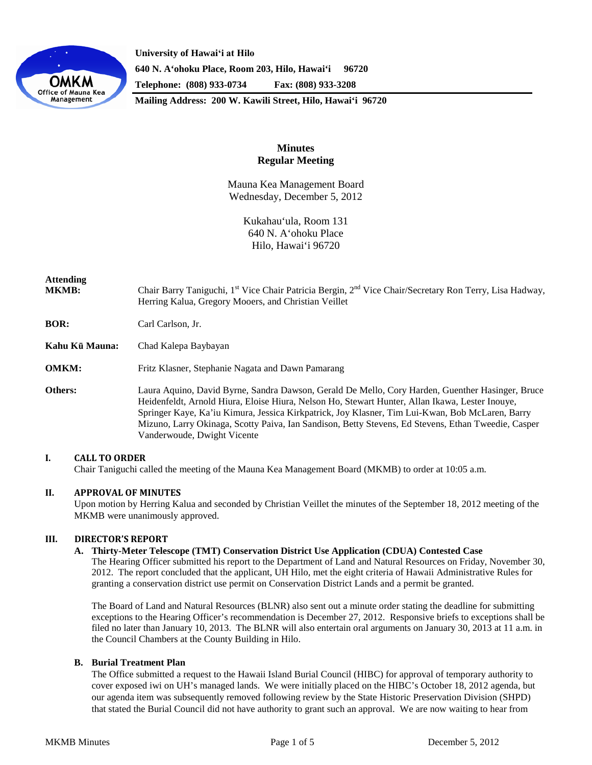

**University of Hawaiʻi at Hilo 640 N. A'ohoku Place, Room 203, Hilo, Hawai'i 96720 Telephone: (808) 933-0734 Fax: (808) 933-3208**

**Mailing Address: 200 W. Kawili Street, Hilo, Hawai'i 96720**

# **Minutes Regular Meeting**

Mauna Kea Management Board Wednesday, December 5, 2012

> Kukahau'ula, Room 131 640 N. A'ohoku Place Hilo, Hawai'i 96720

| <b>Attending</b><br><b>MKMB:</b> | Chair Barry Taniguchi, 1 <sup>st</sup> Vice Chair Patricia Bergin, 2 <sup>nd</sup> Vice Chair/Secretary Ron Terry, Lisa Hadway,<br>Herring Kalua, Gregory Mooers, and Christian Veillet                                                                                                                                                                                                                                                      |
|----------------------------------|----------------------------------------------------------------------------------------------------------------------------------------------------------------------------------------------------------------------------------------------------------------------------------------------------------------------------------------------------------------------------------------------------------------------------------------------|
| BOR:                             | Carl Carlson, Jr.                                                                                                                                                                                                                                                                                                                                                                                                                            |
| Kahu Kū Mauna:                   | Chad Kalepa Baybayan                                                                                                                                                                                                                                                                                                                                                                                                                         |
| <b>OMKM:</b>                     | Fritz Klasner, Stephanie Nagata and Dawn Pamarang                                                                                                                                                                                                                                                                                                                                                                                            |
| Others:                          | Laura Aquino, David Byrne, Sandra Dawson, Gerald De Mello, Cory Harden, Guenther Hasinger, Bruce<br>Heidenfeldt, Arnold Hiura, Eloise Hiura, Nelson Ho, Stewart Hunter, Allan Ikawa, Lester Inouye,<br>Springer Kaye, Ka'iu Kimura, Jessica Kirkpatrick, Joy Klasner, Tim Lui-Kwan, Bob McLaren, Barry<br>Mizuno, Larry Okinaga, Scotty Paiva, Ian Sandison, Betty Stevens, Ed Stevens, Ethan Tweedie, Casper<br>Vanderwoude, Dwight Vicente |

# **I. CALL TO ORDER**

Chair Taniguchi called the meeting of the Mauna Kea Management Board (MKMB) to order at 10:05 a.m.

# **II. APPROVAL OF MINUTES**

Upon motion by Herring Kalua and seconded by Christian Veillet the minutes of the September 18, 2012 meeting of the MKMB were unanimously approved.

### **III. DIRECTOR'S REPORT**

#### **A. Thirty-Meter Telescope (TMT) Conservation District Use Application (CDUA) Contested Case**

The Hearing Officer submitted his report to the Department of Land and Natural Resources on Friday, November 30, 2012. The report concluded that the applicant, UH Hilo, met the eight criteria of Hawaii Administrative Rules for granting a conservation district use permit on Conservation District Lands and a permit be granted.

The Board of Land and Natural Resources (BLNR) also sent out a minute order stating the deadline for submitting exceptions to the Hearing Officer's recommendation is December 27, 2012. Responsive briefs to exceptions shall be filed no later than January 10, 2013. The BLNR will also entertain oral arguments on January 30, 2013 at 11 a.m. in the Council Chambers at the County Building in Hilo.

#### **B. Burial Treatment Plan**

The Office submitted a request to the Hawaii Island Burial Council (HIBC) for approval of temporary authority to cover exposed iwi on UH's managed lands. We were initially placed on the HIBC's October 18, 2012 agenda, but our agenda item was subsequently removed following review by the State Historic Preservation Division (SHPD) that stated the Burial Council did not have authority to grant such an approval. We are now waiting to hear from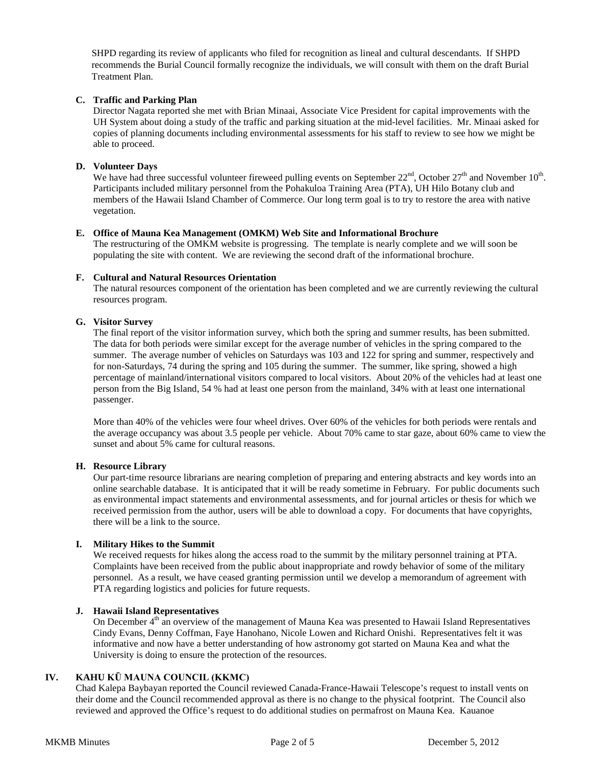SHPD regarding its review of applicants who filed for recognition as lineal and cultural descendants. If SHPD recommends the Burial Council formally recognize the individuals, we will consult with them on the draft Burial Treatment Plan.

# **C. Traffic and Parking Plan**

Director Nagata reported she met with Brian Minaai, Associate Vice President for capital improvements with the UH System about doing a study of the traffic and parking situation at the mid-level facilities. Mr. Minaai asked for copies of planning documents including environmental assessments for his staff to review to see how we might be able to proceed.

# **D. Volunteer Days**

We have had three successful volunteer fireweed pulling events on September  $22^{nd}$ , October  $27^{th}$  and November  $10^{th}$ . Participants included military personnel from the Pohakuloa Training Area (PTA), UH Hilo Botany club and members of the Hawaii Island Chamber of Commerce. Our long term goal is to try to restore the area with native vegetation.

#### **E. Office of Mauna Kea Management (OMKM) Web Site and Informational Brochure**

The restructuring of the OMKM website is progressing. The template is nearly complete and we will soon be populating the site with content. We are reviewing the second draft of the informational brochure.

# **F. Cultural and Natural Resources Orientation**

The natural resources component of the orientation has been completed and we are currently reviewing the cultural resources program.

# **G. Visitor Survey**

The final report of the visitor information survey, which both the spring and summer results, has been submitted. The data for both periods were similar except for the average number of vehicles in the spring compared to the summer. The average number of vehicles on Saturdays was 103 and 122 for spring and summer, respectively and for non-Saturdays, 74 during the spring and 105 during the summer. The summer, like spring, showed a high percentage of mainland/international visitors compared to local visitors. About 20% of the vehicles had at least one person from the Big Island, 54 % had at least one person from the mainland, 34% with at least one international passenger.

More than 40% of the vehicles were four wheel drives. Over 60% of the vehicles for both periods were rentals and the average occupancy was about 3.5 people per vehicle. About 70% came to star gaze, about 60% came to view the sunset and about 5% came for cultural reasons.

#### **H. Resource Library**

Our part-time resource librarians are nearing completion of preparing and entering abstracts and key words into an online searchable database. It is anticipated that it will be ready sometime in February. For public documents such as environmental impact statements and environmental assessments, and for journal articles or thesis for which we received permission from the author, users will be able to download a copy. For documents that have copyrights, there will be a link to the source.

# **I. Military Hikes to the Summit**

We received requests for hikes along the access road to the summit by the military personnel training at PTA. Complaints have been received from the public about inappropriate and rowdy behavior of some of the military personnel. As a result, we have ceased granting permission until we develop a memorandum of agreement with PTA regarding logistics and policies for future requests.

# **J. Hawaii Island Representatives**

On December 4<sup>th</sup> an overview of the management of Mauna Kea was presented to Hawaii Island Representatives Cindy Evans, Denny Coffman, Faye Hanohano, Nicole Lowen and Richard Onishi. Representatives felt it was informative and now have a better understanding of how astronomy got started on Mauna Kea and what the University is doing to ensure the protection of the resources.

# **IV. KAHU KŪ MAUNA COUNCIL (KKMC)**

Chad Kalepa Baybayan reported the Council reviewed Canada-France-Hawaii Telescope's request to install vents on their dome and the Council recommended approval as there is no change to the physical footprint. The Council also reviewed and approved the Office's request to do additional studies on permafrost on Mauna Kea. Kauanoe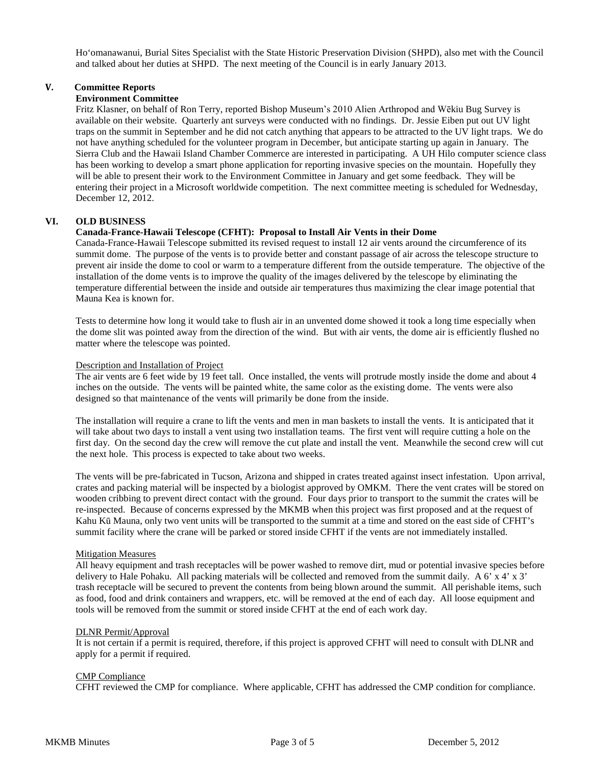Ho'omanawanui, Burial Sites Specialist with the State Historic Preservation Division (SHPD), also met with the Council and talked about her duties at SHPD. The next meeting of the Council is in early January 2013.

# **V. Committee Reports**

### **Environment Committee**

Fritz Klasner, on behalf of Ron Terry, reported Bishop Museum's 2010 Alien Arthropod and Wēkiu Bug Survey is available on their website. Quarterly ant surveys were conducted with no findings. Dr. Jessie Eiben put out UV light traps on the summit in September and he did not catch anything that appears to be attracted to the UV light traps. We do not have anything scheduled for the volunteer program in December, but anticipate starting up again in January. The Sierra Club and the Hawaii Island Chamber Commerce are interested in participating. A UH Hilo computer science class has been working to develop a smart phone application for reporting invasive species on the mountain. Hopefully they will be able to present their work to the Environment Committee in January and get some feedback. They will be entering their project in a Microsoft worldwide competition. The next committee meeting is scheduled for Wednesday, December 12, 2012.

# **VI. OLD BUSINESS**

#### **Canada-France-Hawaii Telescope (CFHT): Proposal to Install Air Vents in their Dome**

Canada-France-Hawaii Telescope submitted its revised request to install 12 air vents around the circumference of its summit dome. The purpose of the vents is to provide better and constant passage of air across the telescope structure to prevent air inside the dome to cool or warm to a temperature different from the outside temperature. The objective of the installation of the dome vents is to improve the quality of the images delivered by the telescope by eliminating the temperature differential between the inside and outside air temperatures thus maximizing the clear image potential that Mauna Kea is known for.

Tests to determine how long it would take to flush air in an unvented dome showed it took a long time especially when the dome slit was pointed away from the direction of the wind. But with air vents, the dome air is efficiently flushed no matter where the telescope was pointed.

#### Description and Installation of Project

The air vents are 6 feet wide by 19 feet tall. Once installed, the vents will protrude mostly inside the dome and about 4 inches on the outside. The vents will be painted white, the same color as the existing dome. The vents were also designed so that maintenance of the vents will primarily be done from the inside.

The installation will require a crane to lift the vents and men in man baskets to install the vents. It is anticipated that it will take about two days to install a vent using two installation teams. The first vent will require cutting a hole on the first day. On the second day the crew will remove the cut plate and install the vent. Meanwhile the second crew will cut the next hole. This process is expected to take about two weeks.

The vents will be pre-fabricated in Tucson, Arizona and shipped in crates treated against insect infestation. Upon arrival, crates and packing material will be inspected by a biologist approved by OMKM. There the vent crates will be stored on wooden cribbing to prevent direct contact with the ground. Four days prior to transport to the summit the crates will be re-inspected. Because of concerns expressed by the MKMB when this project was first proposed and at the request of Kahu Kū Mauna, only two vent units will be transported to the summit at a time and stored on the east side of CFHT's summit facility where the crane will be parked or stored inside CFHT if the vents are not immediately installed.

#### Mitigation Measures

All heavy equipment and trash receptacles will be power washed to remove dirt, mud or potential invasive species before delivery to Hale Pohaku. All packing materials will be collected and removed from the summit daily. A 6' x 4' x 3' trash receptacle will be secured to prevent the contents from being blown around the summit. All perishable items, such as food, food and drink containers and wrappers, etc. will be removed at the end of each day. All loose equipment and tools will be removed from the summit or stored inside CFHT at the end of each work day.

#### DLNR Permit/Approval

It is not certain if a permit is required, therefore, if this project is approved CFHT will need to consult with DLNR and apply for a permit if required.

#### CMP Compliance

CFHT reviewed the CMP for compliance. Where applicable, CFHT has addressed the CMP condition for compliance.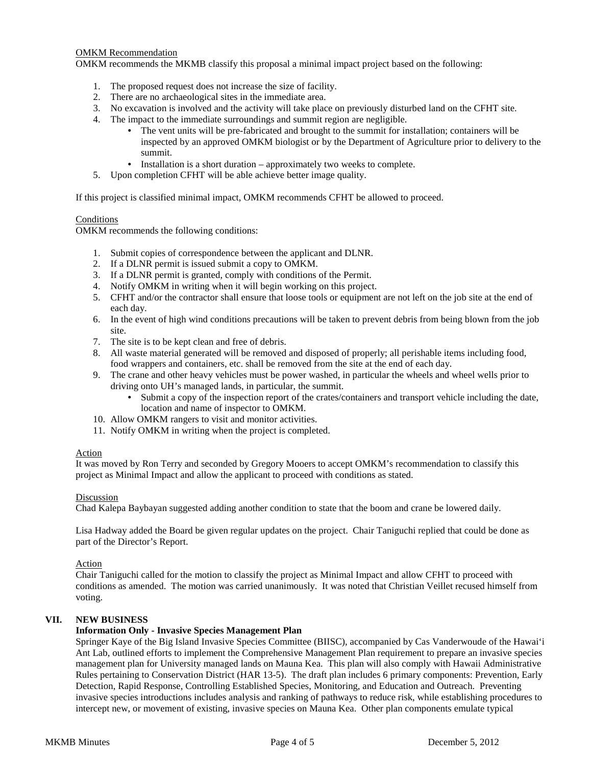# OMKM Recommendation

OMKM recommends the MKMB classify this proposal a minimal impact project based on the following:

- 1. The proposed request does not increase the size of facility.
- 2. There are no archaeological sites in the immediate area.
- 3. No excavation is involved and the activity will take place on previously disturbed land on the CFHT site.
- 4. The impact to the immediate surroundings and summit region are negligible.
	- The vent units will be pre-fabricated and brought to the summit for installation; containers will be inspected by an approved OMKM biologist or by the Department of Agriculture prior to delivery to the summit.
	- Installation is a short duration approximately two weeks to complete.
- 5. Upon completion CFHT will be able achieve better image quality.

If this project is classified minimal impact, OMKM recommends CFHT be allowed to proceed.

# **Conditions**

OMKM recommends the following conditions:

- 1. Submit copies of correspondence between the applicant and DLNR.
- 2. If a DLNR permit is issued submit a copy to OMKM.
- 3. If a DLNR permit is granted, comply with conditions of the Permit.
- 4. Notify OMKM in writing when it will begin working on this project.
- 5. CFHT and/or the contractor shall ensure that loose tools or equipment are not left on the job site at the end of each day.
- 6. In the event of high wind conditions precautions will be taken to prevent debris from being blown from the job site.
- 7. The site is to be kept clean and free of debris.
- 8. All waste material generated will be removed and disposed of properly; all perishable items including food, food wrappers and containers, etc. shall be removed from the site at the end of each day.
- 9. The crane and other heavy vehicles must be power washed, in particular the wheels and wheel wells prior to driving onto UH's managed lands, in particular, the summit.
	- Submit a copy of the inspection report of the crates/containers and transport vehicle including the date, location and name of inspector to OMKM.
- 10. Allow OMKM rangers to visit and monitor activities.
- 11. Notify OMKM in writing when the project is completed.

# Action

It was moved by Ron Terry and seconded by Gregory Mooers to accept OMKM's recommendation to classify this project as Minimal Impact and allow the applicant to proceed with conditions as stated.

#### Discussion

Chad Kalepa Baybayan suggested adding another condition to state that the boom and crane be lowered daily.

Lisa Hadway added the Board be given regular updates on the project. Chair Taniguchi replied that could be done as part of the Director's Report.

# Action

Chair Taniguchi called for the motion to classify the project as Minimal Impact and allow CFHT to proceed with conditions as amended. The motion was carried unanimously. It was noted that Christian Veillet recused himself from voting.

# **VII. NEW BUSINESS**

# **Information Only - Invasive Species Management Plan**

Springer Kaye of the Big Island Invasive Species Committee (BIISC), accompanied by Cas Vanderwoude of the Hawai'i Ant Lab, outlined efforts to implement the Comprehensive Management Plan requirement to prepare an invasive species management plan for University managed lands on Mauna Kea. This plan will also comply with Hawaii Administrative Rules pertaining to Conservation District (HAR 13-5). The draft plan includes 6 primary components: Prevention, Early Detection, Rapid Response, Controlling Established Species, Monitoring, and Education and Outreach. Preventing invasive species introductions includes analysis and ranking of pathways to reduce risk, while establishing procedures to intercept new, or movement of existing, invasive species on Mauna Kea. Other plan components emulate typical